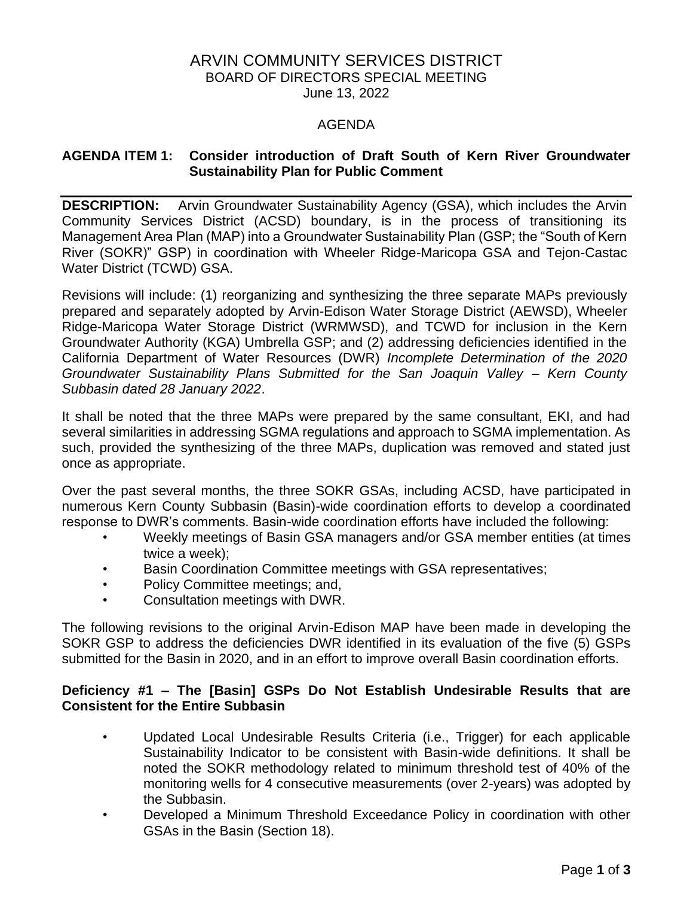# ARVIN COMMUNITY SERVICES DISTRICT BOARD OF DIRECTORS SPECIAL MEETING June 13, 2022

#### AGENDA

#### **AGENDA ITEM 1: Consider introduction of Draft South of Kern River Groundwater Sustainability Plan for Public Comment**

**DESCRIPTION:** Arvin Groundwater Sustainability Agency (GSA), which includes the Arvin Community Services District (ACSD) boundary, is in the process of transitioning its Management Area Plan (MAP) into a Groundwater Sustainability Plan (GSP; the "South of Kern River (SOKR)" GSP) in coordination with Wheeler Ridge-Maricopa GSA and Tejon-Castac Water District (TCWD) GSA.

Revisions will include: (1) reorganizing and synthesizing the three separate MAPs previously prepared and separately adopted by Arvin-Edison Water Storage District (AEWSD), Wheeler Ridge-Maricopa Water Storage District (WRMWSD), and TCWD for inclusion in the Kern Groundwater Authority (KGA) Umbrella GSP; and (2) addressing deficiencies identified in the California Department of Water Resources (DWR) *Incomplete Determination of the 2020 Groundwater Sustainability Plans Submitted for the San Joaquin Valley – Kern County Subbasin dated 28 January 2022*.

It shall be noted that the three MAPs were prepared by the same consultant, EKI, and had several similarities in addressing SGMA regulations and approach to SGMA implementation. As such, provided the synthesizing of the three MAPs, duplication was removed and stated just once as appropriate.

Over the past several months, the three SOKR GSAs, including ACSD, have participated in numerous Kern County Subbasin (Basin)-wide coordination efforts to develop a coordinated response to DWR's comments. Basin-wide coordination efforts have included the following:

- Weekly meetings of Basin GSA managers and/or GSA member entities (at times twice a week);
- Basin Coordination Committee meetings with GSA representatives;
- Policy Committee meetings; and,
- Consultation meetings with DWR.

The following revisions to the original Arvin-Edison MAP have been made in developing the SOKR GSP to address the deficiencies DWR identified in its evaluation of the five (5) GSPs submitted for the Basin in 2020, and in an effort to improve overall Basin coordination efforts.

#### **Deficiency #1 – The [Basin] GSPs Do Not Establish Undesirable Results that are Consistent for the Entire Subbasin**

- Updated Local Undesirable Results Criteria (i.e., Trigger) for each applicable Sustainability Indicator to be consistent with Basin-wide definitions. It shall be noted the SOKR methodology related to minimum threshold test of 40% of the monitoring wells for 4 consecutive measurements (over 2-years) was adopted by the Subbasin.
- Developed a Minimum Threshold Exceedance Policy in coordination with other GSAs in the Basin (Section 18).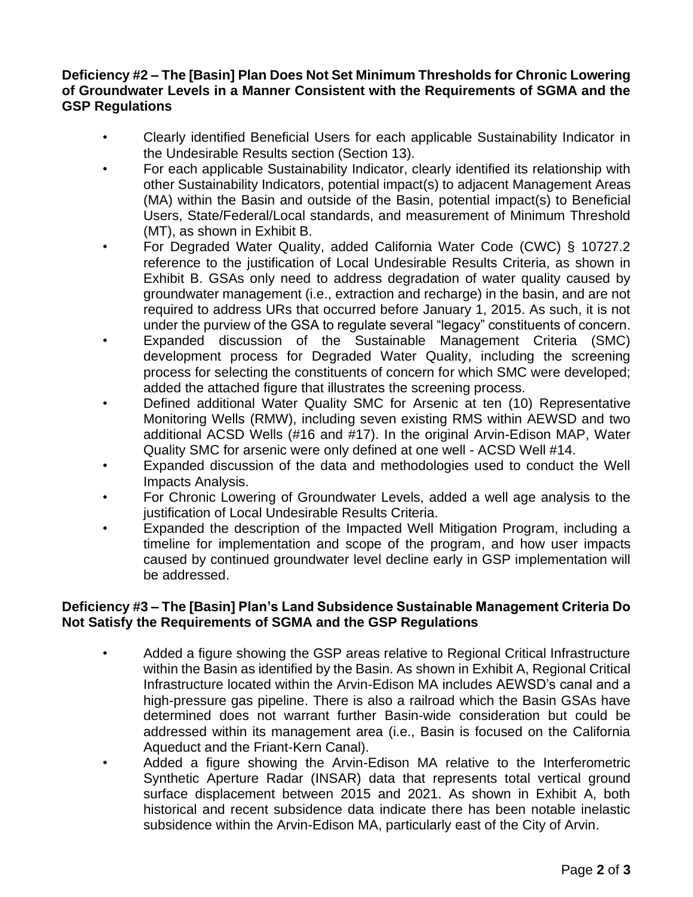## **Deficiency #2 – The [Basin] Plan Does Not Set Minimum Thresholds for Chronic Lowering of Groundwater Levels in a Manner Consistent with the Requirements of SGMA and the GSP Regulations**

- Clearly identified Beneficial Users for each applicable Sustainability Indicator in the Undesirable Results section (Section 13).
- For each applicable Sustainability Indicator, clearly identified its relationship with other Sustainability Indicators, potential impact(s) to adjacent Management Areas (MA) within the Basin and outside of the Basin, potential impact(s) to Beneficial Users, State/Federal/Local standards, and measurement of Minimum Threshold (MT), as shown in Exhibit B.
- For Degraded Water Quality, added California Water Code (CWC) § 10727.2 reference to the justification of Local Undesirable Results Criteria, as shown in Exhibit B. GSAs only need to address degradation of water quality caused by groundwater management (i.e., extraction and recharge) in the basin, and are not required to address URs that occurred before January 1, 2015. As such, it is not under the purview of the GSA to regulate several "legacy" constituents of concern.
- Expanded discussion of the Sustainable Management Criteria (SMC) development process for Degraded Water Quality, including the screening process for selecting the constituents of concern for which SMC were developed; added the attached figure that illustrates the screening process.
- Defined additional Water Quality SMC for Arsenic at ten (10) Representative Monitoring Wells (RMW), including seven existing RMS within AEWSD and two additional ACSD Wells (#16 and #17). In the original Arvin-Edison MAP, Water Quality SMC for arsenic were only defined at one well - ACSD Well #14.
- Expanded discussion of the data and methodologies used to conduct the Well Impacts Analysis.
- For Chronic Lowering of Groundwater Levels, added a well age analysis to the justification of Local Undesirable Results Criteria.
- Expanded the description of the Impacted Well Mitigation Program, including a timeline for implementation and scope of the program, and how user impacts caused by continued groundwater level decline early in GSP implementation will be addressed.

## **Deficiency #3 – The [Basin] Plan's Land Subsidence Sustainable Management Criteria Do Not Satisfy the Requirements of SGMA and the GSP Regulations**

- Added a figure showing the GSP areas relative to Regional Critical Infrastructure within the Basin as identified by the Basin. As shown in Exhibit A, Regional Critical Infrastructure located within the Arvin-Edison MA includes AEWSD's canal and a high-pressure gas pipeline. There is also a railroad which the Basin GSAs have determined does not warrant further Basin-wide consideration but could be addressed within its management area (i.e., Basin is focused on the California Aqueduct and the Friant-Kern Canal).
- Added a figure showing the Arvin-Edison MA relative to the Interferometric Synthetic Aperture Radar (INSAR) data that represents total vertical ground surface displacement between 2015 and 2021. As shown in Exhibit A, both historical and recent subsidence data indicate there has been notable inelastic subsidence within the Arvin-Edison MA, particularly east of the City of Arvin.